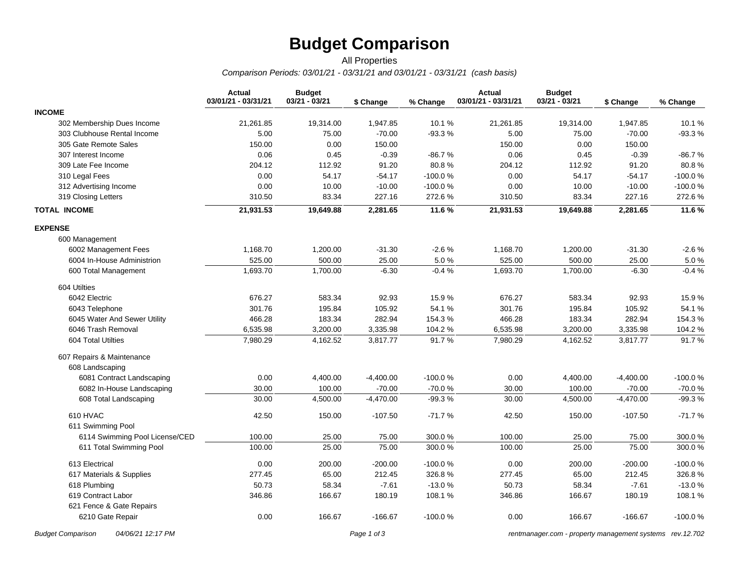## **Budget Comparison**

## *Comparison Periods: 03/01/21 - 03/31/21 and 03/01/21 - 03/31/21 (cash basis)* All Properties

|                                | <b>Actual</b><br>03/01/21 - 03/31/21 | <b>Budget</b><br>03/21 - 03/21 | \$ Change   | % Change  | <b>Actual</b><br>03/01/21 - 03/31/21 | <b>Budget</b><br>03/21 - 03/21 | \$ Change   | % Change  |
|--------------------------------|--------------------------------------|--------------------------------|-------------|-----------|--------------------------------------|--------------------------------|-------------|-----------|
| <b>INCOME</b>                  |                                      |                                |             |           |                                      |                                |             |           |
| 302 Membership Dues Income     | 21,261.85                            | 19,314.00                      | 1,947.85    | 10.1%     | 21,261.85                            | 19,314.00                      | 1,947.85    | 10.1%     |
| 303 Clubhouse Rental Income    | 5.00                                 | 75.00                          | $-70.00$    | $-93.3%$  | 5.00                                 | 75.00                          | $-70.00$    | $-93.3%$  |
| 305 Gate Remote Sales          | 150.00                               | 0.00                           | 150.00      |           | 150.00                               | 0.00                           | 150.00      |           |
| 307 Interest Income            | 0.06                                 | 0.45                           | $-0.39$     | $-86.7%$  | 0.06                                 | 0.45                           | $-0.39$     | $-86.7%$  |
| 309 Late Fee Income            | 204.12                               | 112.92                         | 91.20       | 80.8%     | 204.12                               | 112.92                         | 91.20       | 80.8%     |
| 310 Legal Fees                 | 0.00                                 | 54.17                          | $-54.17$    | $-100.0%$ | 0.00                                 | 54.17                          | $-54.17$    | $-100.0%$ |
| 312 Advertising Income         | 0.00                                 | 10.00                          | $-10.00$    | $-100.0%$ | 0.00                                 | 10.00                          | $-10.00$    | -100.0%   |
| 319 Closing Letters            | 310.50                               | 83.34                          | 227.16      | 272.6%    | 310.50                               | 83.34                          | 227.16      | 272.6%    |
| <b>TOTAL INCOME</b>            | 21,931.53                            | 19,649.88                      | 2,281.65    | 11.6%     | 21,931.53                            | 19,649.88                      | 2,281.65    | 11.6%     |
| <b>EXPENSE</b>                 |                                      |                                |             |           |                                      |                                |             |           |
| 600 Management                 |                                      |                                |             |           |                                      |                                |             |           |
| 6002 Management Fees           | 1,168.70                             | 1,200.00                       | $-31.30$    | $-2.6%$   | 1,168.70                             | 1,200.00                       | $-31.30$    | $-2.6%$   |
| 6004 In-House Administrion     | 525.00                               | 500.00                         | 25.00       | 5.0%      | 525.00                               | 500.00                         | 25.00       | 5.0%      |
| 600 Total Management           | 1,693.70                             | 1,700.00                       | $-6.30$     | $-0.4%$   | 1,693.70                             | 1,700.00                       | $-6.30$     | $-0.4%$   |
| 604 Utilties                   |                                      |                                |             |           |                                      |                                |             |           |
| 6042 Electric                  | 676.27                               | 583.34                         | 92.93       | 15.9%     | 676.27                               | 583.34                         | 92.93       | 15.9%     |
| 6043 Telephone                 | 301.76                               | 195.84                         | 105.92      | 54.1%     | 301.76                               | 195.84                         | 105.92      | 54.1%     |
| 6045 Water And Sewer Utility   | 466.28                               | 183.34                         | 282.94      | 154.3%    | 466.28                               | 183.34                         | 282.94      | 154.3%    |
| 6046 Trash Removal             | 6,535.98                             | 3,200.00                       | 3,335.98    | 104.2%    | 6,535.98                             | 3,200.00                       | 3,335.98    | 104.2%    |
| 604 Total Utilties             | 7,980.29                             | 4,162.52                       | 3,817.77    | 91.7%     | 7,980.29                             | 4,162.52                       | 3,817.77    | 91.7%     |
| 607 Repairs & Maintenance      |                                      |                                |             |           |                                      |                                |             |           |
| 608 Landscaping                |                                      |                                |             |           |                                      |                                |             |           |
| 6081 Contract Landscaping      | 0.00                                 | 4,400.00                       | $-4,400.00$ | $-100.0%$ | 0.00                                 | 4,400.00                       | $-4,400.00$ | $-100.0%$ |
| 6082 In-House Landscaping      | 30.00                                | 100.00                         | $-70.00$    | $-70.0%$  | 30.00                                | 100.00                         | $-70.00$    | $-70.0%$  |
| 608 Total Landscaping          | 30.00                                | 4,500.00                       | $-4,470.00$ | $-99.3%$  | 30.00                                | 4,500.00                       | $-4,470.00$ | $-99.3%$  |
| 610 HVAC                       | 42.50                                | 150.00                         | $-107.50$   | $-71.7%$  | 42.50                                | 150.00                         | $-107.50$   | $-71.7%$  |
| 611 Swimming Pool              |                                      |                                |             |           |                                      |                                |             |           |
| 6114 Swimming Pool License/CED | 100.00                               | 25.00                          | 75.00       | 300.0%    | 100.00                               | 25.00                          | 75.00       | 300.0%    |
| 611 Total Swimming Pool        | 100.00                               | 25.00                          | 75.00       | 300.0%    | 100.00                               | 25.00                          | 75.00       | 300.0%    |
| 613 Electrical                 | 0.00                                 | 200.00                         | $-200.00$   | $-100.0%$ | 0.00                                 | 200.00                         | $-200.00$   | $-100.0%$ |
| 617 Materials & Supplies       | 277.45                               | 65.00                          | 212.45      | 326.8%    | 277.45                               | 65.00                          | 212.45      | 326.8%    |
| 618 Plumbing                   | 50.73                                | 58.34                          | $-7.61$     | $-13.0%$  | 50.73                                | 58.34                          | $-7.61$     | $-13.0%$  |
| 619 Contract Labor             | 346.86                               | 166.67                         | 180.19      | 108.1 %   | 346.86                               | 166.67                         | 180.19      | 108.1 %   |
| 621 Fence & Gate Repairs       |                                      |                                |             |           |                                      |                                |             |           |
| 6210 Gate Repair               | 0.00                                 | 166.67                         | $-166.67$   | $-100.0%$ | 0.00                                 | 166.67                         | $-166.67$   | $-100.0%$ |

*Budget Comparison 04/06/21 12:17 PM Page 1 of 3 [rentmanager.com - property management systems rev.12.702](http://www.rentmanager.com)*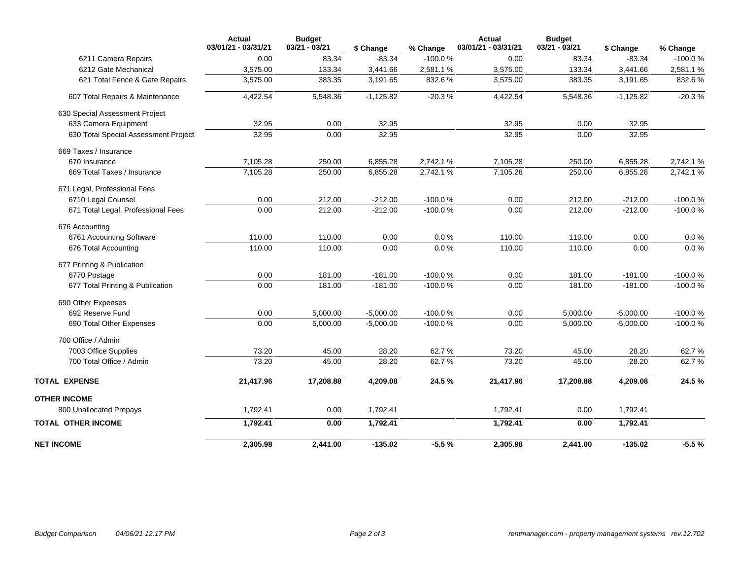|                                      | <b>Actual</b><br>03/01/21 - 03/31/21 | <b>Budget</b><br>$03/21 - 03/21$ | \$ Change   | % Change  | Actual<br>03/01/21 - 03/31/21 | <b>Budget</b><br>$03/21 - 03/21$ | \$ Change   | % Change  |
|--------------------------------------|--------------------------------------|----------------------------------|-------------|-----------|-------------------------------|----------------------------------|-------------|-----------|
| 6211 Camera Repairs                  | 0.00                                 | 83.34                            | $-83.34$    | $-100.0%$ | 0.00                          | 83.34                            | $-83.34$    | $-100.0%$ |
| 6212 Gate Mechanical                 | 3,575.00                             | 133.34                           | 3,441.66    | 2,581.1%  | 3,575.00                      | 133.34                           | 3,441.66    | 2,581.1%  |
| 621 Total Fence & Gate Repairs       | 3,575.00                             | 383.35                           | 3,191.65    | 832.6%    | 3,575.00                      | 383.35                           | 3,191.65    | 832.6%    |
| 607 Total Repairs & Maintenance      | 4,422.54                             | 5,548.36                         | $-1,125.82$ | $-20.3%$  | 4,422.54                      | 5,548.36                         | $-1,125.82$ | $-20.3%$  |
| 630 Special Assessment Project       |                                      |                                  |             |           |                               |                                  |             |           |
| 633 Camera Equipment                 | 32.95                                | 0.00                             | 32.95       |           | 32.95                         | 0.00                             | 32.95       |           |
| 630 Total Special Assessment Project | 32.95                                | 0.00                             | 32.95       |           | 32.95                         | 0.00                             | 32.95       |           |
| 669 Taxes / Insurance                |                                      |                                  |             |           |                               |                                  |             |           |
| 670 Insurance                        | 7,105.28                             | 250.00                           | 6,855.28    | 2,742.1%  | 7,105.28                      | 250.00                           | 6,855.28    | 2,742.1%  |
| 669 Total Taxes / Insurance          | 7,105.28                             | 250.00                           | 6,855.28    | 2,742.1%  | 7,105.28                      | 250.00                           | 6,855.28    | 2,742.1%  |
| 671 Legal, Professional Fees         |                                      |                                  |             |           |                               |                                  |             |           |
| 6710 Legal Counsel                   | 0.00                                 | 212.00                           | $-212.00$   | $-100.0%$ | 0.00                          | 212.00                           | $-212.00$   | $-100.0%$ |
| 671 Total Legal, Professional Fees   | 0.00                                 | 212.00                           | $-212.00$   | $-100.0%$ | 0.00                          | 212.00                           | $-212.00$   | $-100.0%$ |
| 676 Accounting                       |                                      |                                  |             |           |                               |                                  |             |           |
| 6761 Accounting Software             | 110.00                               | 110.00                           | 0.00        | 0.0%      | 110.00                        | 110.00                           | 0.00        | 0.0 %     |
| 676 Total Accounting                 | 110.00                               | 110.00                           | 0.00        | 0.0%      | 110.00                        | 110.00                           | 0.00        | $0.0 \%$  |
| 677 Printing & Publication           |                                      |                                  |             |           |                               |                                  |             |           |
| 6770 Postage                         | 0.00                                 | 181.00                           | $-181.00$   | $-100.0%$ | 0.00                          | 181.00                           | $-181.00$   | $-100.0%$ |
| 677 Total Printing & Publication     | 0.00                                 | 181.00                           | $-181.00$   | $-100.0%$ | 0.00                          | 181.00                           | $-181.00$   | $-100.0%$ |
| 690 Other Expenses                   |                                      |                                  |             |           |                               |                                  |             |           |
| 692 Reserve Fund                     | 0.00                                 | 5,000.00                         | $-5,000.00$ | $-100.0%$ | 0.00                          | 5,000.00                         | $-5,000.00$ | $-100.0%$ |
| 690 Total Other Expenses             | 0.00                                 | 5,000.00                         | $-5,000.00$ | $-100.0%$ | 0.00                          | 5,000.00                         | $-5,000.00$ | $-100.0%$ |
| 700 Office / Admin                   |                                      |                                  |             |           |                               |                                  |             |           |
| 7003 Office Supplies                 | 73.20                                | 45.00                            | 28.20       | 62.7%     | 73.20                         | 45.00                            | 28.20       | 62.7%     |
| 700 Total Office / Admin             | 73.20                                | 45.00                            | 28.20       | 62.7%     | 73.20                         | 45.00                            | 28.20       | 62.7%     |
| <b>TOTAL EXPENSE</b>                 | 21,417.96                            | 17,208.88                        | 4,209.08    | 24.5%     | 21,417.96                     | 17,208.88                        | 4,209.08    | 24.5%     |
| <b>OTHER INCOME</b>                  |                                      |                                  |             |           |                               |                                  |             |           |
| 800 Unallocated Prepays              | 1,792.41                             | 0.00                             | 1,792.41    |           | 1,792.41                      | 0.00                             | 1,792.41    |           |
| <b>TOTAL OTHER INCOME</b>            | 1,792.41                             | 0.00                             | 1,792.41    |           | 1,792.41                      | 0.00                             | 1,792.41    |           |
| <b>NET INCOME</b>                    | 2,305.98                             | 2,441.00                         | $-135.02$   | $-5.5%$   | 2,305.98                      | 2,441.00                         | $-135.02$   | $-5.5%$   |